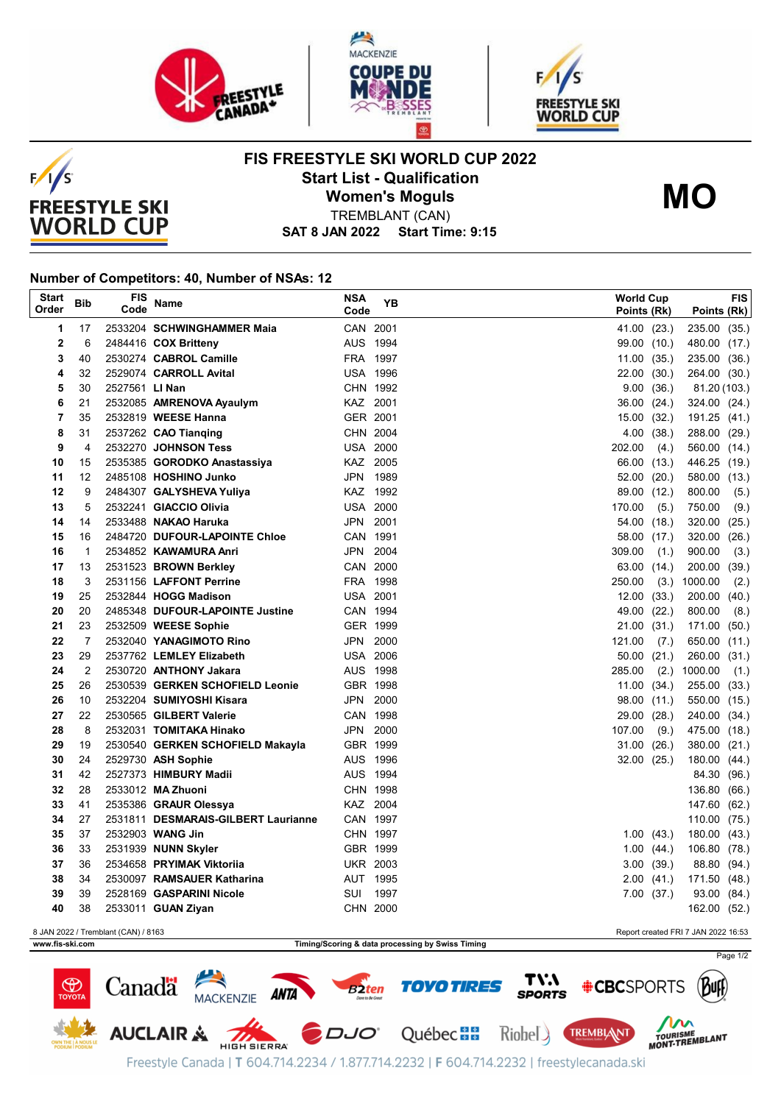





**FIS FREESTYLE SKI WORLD CUP 2022 Start List - Qualification**

**Women's Moguls**



TREMBLANT (CAN)

**SAT 8 JAN 2022 Start Time: 9:15**

## **Number of Competitors: 40, Number of NSAs: 12**

 $F/1/S$ 

**FREESTYLE SKI WORLD CUP** 

| <b>Start</b><br>Order                                                      | <b>Bib</b>     | FIS<br>Code    | <b>Name</b>                                         | <b>NSA</b><br>Code   | YB       |  | <b>World Cup</b><br>Points (Rk) |                | Points (Rk)                  | FIS  |
|----------------------------------------------------------------------------|----------------|----------------|-----------------------------------------------------|----------------------|----------|--|---------------------------------|----------------|------------------------------|------|
| 1                                                                          | 17             |                | 2533204 SCHWINGHAMMER Maia                          | CAN 2001             |          |  | 41.00 (23.)                     |                | 235.00 (35.)                 |      |
| 2                                                                          | 6              |                | 2484416 COX Britteny                                | AUS 1994             |          |  |                                 | 99.00 (10.)    | 480.00 (17.)                 |      |
| 3                                                                          | 40             |                | 2530274 CABROL Camille                              | FRA 1997             |          |  | 11.00(35.)                      |                | 235.00 (36.)                 |      |
| 4                                                                          | 32             |                | 2529074 CARROLL Avital                              | <b>USA 1996</b>      |          |  | 22.00 (30.)                     |                | 264.00 (30.)                 |      |
| 5                                                                          | 30             | 2527561 LI Nan |                                                     |                      | CHN 1992 |  | 9.00                            | (36.)          | 81.20 (103.)                 |      |
| 6                                                                          | 21             |                | 2532085 AMRENOVA Ayaulym                            | KAZ 2001             |          |  | 36.00                           | (24.)          | 324.00 (24.)                 |      |
| 7                                                                          | 35             |                | 2532819 WEESE Hanna                                 | GER 2001             |          |  | 15.00                           | (32.)          | 191.25 (41.)                 |      |
| 8                                                                          | 31             |                | 2537262 CAO Tianqing                                | CHN 2004             |          |  | 4.00                            | (38.)          | 288.00 (29.)                 |      |
| 9                                                                          | 4              |                | 2532270 JOHNSON Tess                                | <b>USA 2000</b>      |          |  | 202.00                          | (4.)           | 560.00 (14.)                 |      |
| 10                                                                         | 15             |                | 2535385 GORODKO Anastassiya                         | KAZ 2005             |          |  |                                 | 66.00 (13.)    | 446.25 (19.)                 |      |
| 11                                                                         | 12             |                | 2485108 HOSHINO Junko                               | JPN 1989             |          |  | 52.00                           | (20.)          | 580.00 (13.)                 |      |
| 12                                                                         | 9              |                | 2484307 GALYSHEVA Yuliya                            |                      | KAZ 1992 |  | 89.00 (12.)                     |                | 800.00                       | (5.) |
| 13                                                                         | 5              |                | 2532241 GIACCIO Olivia                              | <b>USA 2000</b>      |          |  | 170.00                          | (5.)           | 750.00                       | (9.) |
| 14                                                                         | 14             |                | 2533488 NAKAO Haruka                                | JPN 2001             |          |  | 54.00                           | (18.)          | 320.00 (25.)                 |      |
| 15                                                                         | 16             |                | 2484720 DUFOUR-LAPOINTE Chloe                       | CAN 1991             |          |  | 58.00                           | (17.)          | 320.00 (26.)                 |      |
| 16                                                                         | 1              |                | 2534852 KAWAMURA Anri                               | JPN 2004             |          |  | 309.00                          | (1.)           | 900.00                       | (3.) |
| 17                                                                         | 13             |                | 2531523 BROWN Berkley                               | CAN 2000             |          |  | 63.00 (14.)                     |                | 200.00 (39.)                 |      |
| 18                                                                         | 3              |                | 2531156 LAFFONT Perrine                             | FRA 1998             |          |  | 250.00                          | (3.)           | 1000.00                      | (2.) |
| 19                                                                         | 25             |                | 2532844 HOGG Madison                                | <b>USA 2001</b>      |          |  | 12.00(33.)                      |                | 200.00 (40.)                 |      |
| 20                                                                         | 20             |                | 2485348 DUFOUR-LAPOINTE Justine                     | CAN 1994             |          |  | 49.00                           | (22.)          | 800.00                       | (8.) |
| 21                                                                         | 23             |                | 2532509 WEESE Sophie                                | GER 1999             |          |  | 21.00                           | (31.)          | 171.00 (50.)                 |      |
| 22                                                                         | $\overline{7}$ |                | 2532040 YANAGIMOTO Rino                             | JPN 2000             |          |  | 121.00                          | (7.)           | 650.00 (11.)                 |      |
| 23                                                                         | 29             |                | 2537762 LEMLEY Elizabeth                            | <b>USA 2006</b>      |          |  |                                 | 50.00 (21.)    | 260.00 (31.)                 |      |
| 24                                                                         | 2              |                | 2530720 ANTHONY Jakara                              | AUS 1998             |          |  | 285.00                          | (2.)           | 1000.00                      | (1.) |
| 25<br>26                                                                   | 26<br>10       |                | 2530539 GERKEN SCHOFIELD Leonie                     | GBR 1998<br>JPN 2000 |          |  |                                 | 11.00(34.)     | 255.00 (33.)                 |      |
| 27                                                                         | 22             |                | 2532204 SUMIYOSHI Kisara<br>2530565 GILBERT Valerie | CAN 1998             |          |  | 98.00 (11.)<br>29.00            |                | 550.00 (15.)                 |      |
| 28                                                                         | 8              |                | 2532031 TOMITAKA Hinako                             | JPN 2000             |          |  | 107.00                          | (28.)<br>(9.)  | 240.00 (34.)<br>475.00 (18.) |      |
| 29                                                                         | 19             |                | 2530540 GERKEN SCHOFIELD Makayla                    | GBR 1999             |          |  | 31.00                           | (26.)          | 380.00 (21.)                 |      |
| 30                                                                         | 24             |                | 2529730 ASH Sophie                                  | AUS 1996             |          |  | 32.00(25)                       |                | 180.00 (44.)                 |      |
| 31                                                                         | 42             |                | 2527373 HIMBURY Madii                               | AUS 1994             |          |  |                                 |                | 84.30 (96.)                  |      |
| 32                                                                         | 28             |                | 2533012 MA Zhuoni                                   | CHN 1998             |          |  |                                 |                | 136.80 (66.)                 |      |
| 33                                                                         | 41             |                | 2535386 GRAUR Olessya                               | KAZ 2004             |          |  |                                 |                | 147.60 (62.)                 |      |
| 34                                                                         | 27             |                | 2531811 DESMARAIS-GILBERT Laurianne                 | CAN 1997             |          |  |                                 |                | 110.00 (75.)                 |      |
| 35                                                                         | 37             |                | 2532903 WANG Jin                                    | CHN 1997             |          |  |                                 | 1.00(43)       | 180.00 (43.)                 |      |
| 36                                                                         | 33             |                | 2531939 NUNN Skyler                                 | GBR 1999             |          |  |                                 | 1.00(44.)      | 106.80 (78.)                 |      |
| 37                                                                         | 36             |                | 2534658 PRYIMAK Viktoriia                           | <b>UKR 2003</b>      |          |  | 3.00                            | (39.)          | 88.80 (94.)                  |      |
| 38                                                                         | 34             |                | 2530097 RAMSAUER Katharina                          | AUT 1995             |          |  |                                 | $2.00$ $(41.)$ | 171.50 (48.)                 |      |
| 39                                                                         | 39             |                | 2528169 GASPARINI Nicole                            | SUI                  | 1997     |  |                                 | 7.00(37.)      | 93.00 (84.)                  |      |
| 40                                                                         | 38             |                | 2533011 GUAN Ziyan                                  | CHN 2000             |          |  |                                 |                | 162.00 (52.)                 |      |
| 8 JAN 2022 / Tremblant (CAN) / 8163<br>Report created FRI 7 JAN 2022 16:53 |                |                |                                                     |                      |          |  |                                 |                |                              |      |

**www.fis-ski.com Timing/Scoring & data processing by Swiss Timing**

Page 1/2